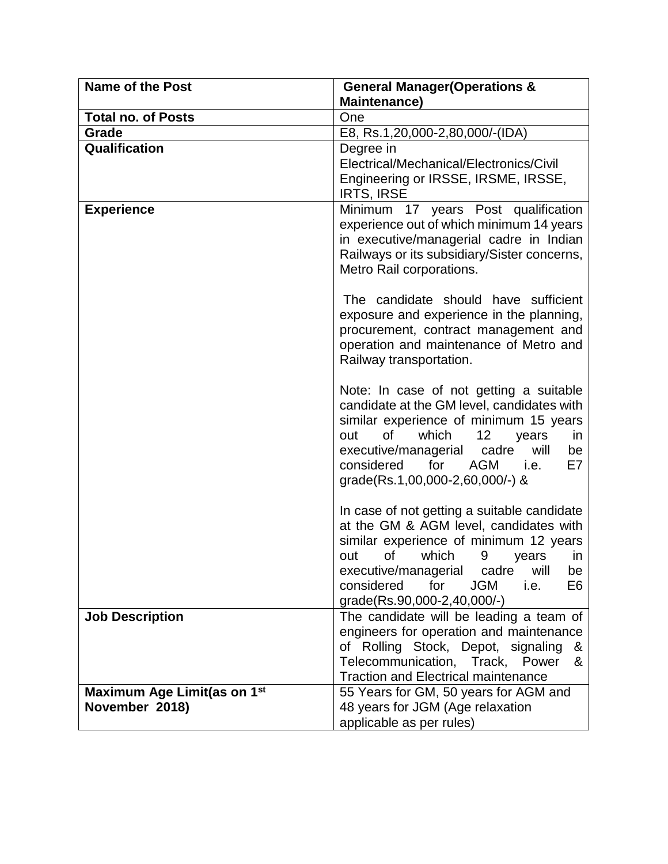| <b>Name of the Post</b>                                   | <b>General Manager (Operations &amp;</b><br><b>Maintenance)</b>                                                                                                                                                                                                                                           |
|-----------------------------------------------------------|-----------------------------------------------------------------------------------------------------------------------------------------------------------------------------------------------------------------------------------------------------------------------------------------------------------|
| <b>Total no. of Posts</b>                                 | One                                                                                                                                                                                                                                                                                                       |
| Grade                                                     | E8, Rs.1,20,000-2,80,000/-(IDA)                                                                                                                                                                                                                                                                           |
| Qualification                                             | Degree in                                                                                                                                                                                                                                                                                                 |
|                                                           | Electrical/Mechanical/Electronics/Civil<br>Engineering or IRSSE, IRSME, IRSSE,<br><b>IRTS, IRSE</b>                                                                                                                                                                                                       |
| <b>Experience</b>                                         | Minimum 17 years Post qualification<br>experience out of which minimum 14 years<br>in executive/managerial cadre in Indian<br>Railways or its subsidiary/Sister concerns,<br>Metro Rail corporations.                                                                                                     |
|                                                           | The candidate should have sufficient<br>exposure and experience in the planning,<br>procurement, contract management and<br>operation and maintenance of Metro and<br>Railway transportation.                                                                                                             |
|                                                           | Note: In case of not getting a suitable<br>candidate at the GM level, candidates with<br>similar experience of minimum 15 years<br>of<br>which<br>12<br>out<br>years<br>in.<br>will<br>executive/managerial<br>cadre<br>be<br>considered<br>for<br>AGM<br>E7<br>i.e.<br>grade(Rs.1,00,000-2,60,000/-) &   |
|                                                           | In case of not getting a suitable candidate<br>at the GM & AGM level, candidates with<br>similar experience of minimum 12 years<br>of<br>which<br>out<br>9<br>years<br>in.<br>executive/managerial<br>cadre<br>will<br>be<br>considered<br>for<br><b>JGM</b><br>E6<br>i.e.<br>grade(Rs.90,000-2,40,000/-) |
| <b>Job Description</b>                                    | The candidate will be leading a team of<br>engineers for operation and maintenance<br>of Rolling Stock, Depot, signaling<br>&<br>Telecommunication, Track, Power<br>&<br><b>Traction and Electrical maintenance</b>                                                                                       |
| Maximum Age Limit(as on 1 <sup>st</sup><br>November 2018) | 55 Years for GM, 50 years for AGM and<br>48 years for JGM (Age relaxation<br>applicable as per rules)                                                                                                                                                                                                     |